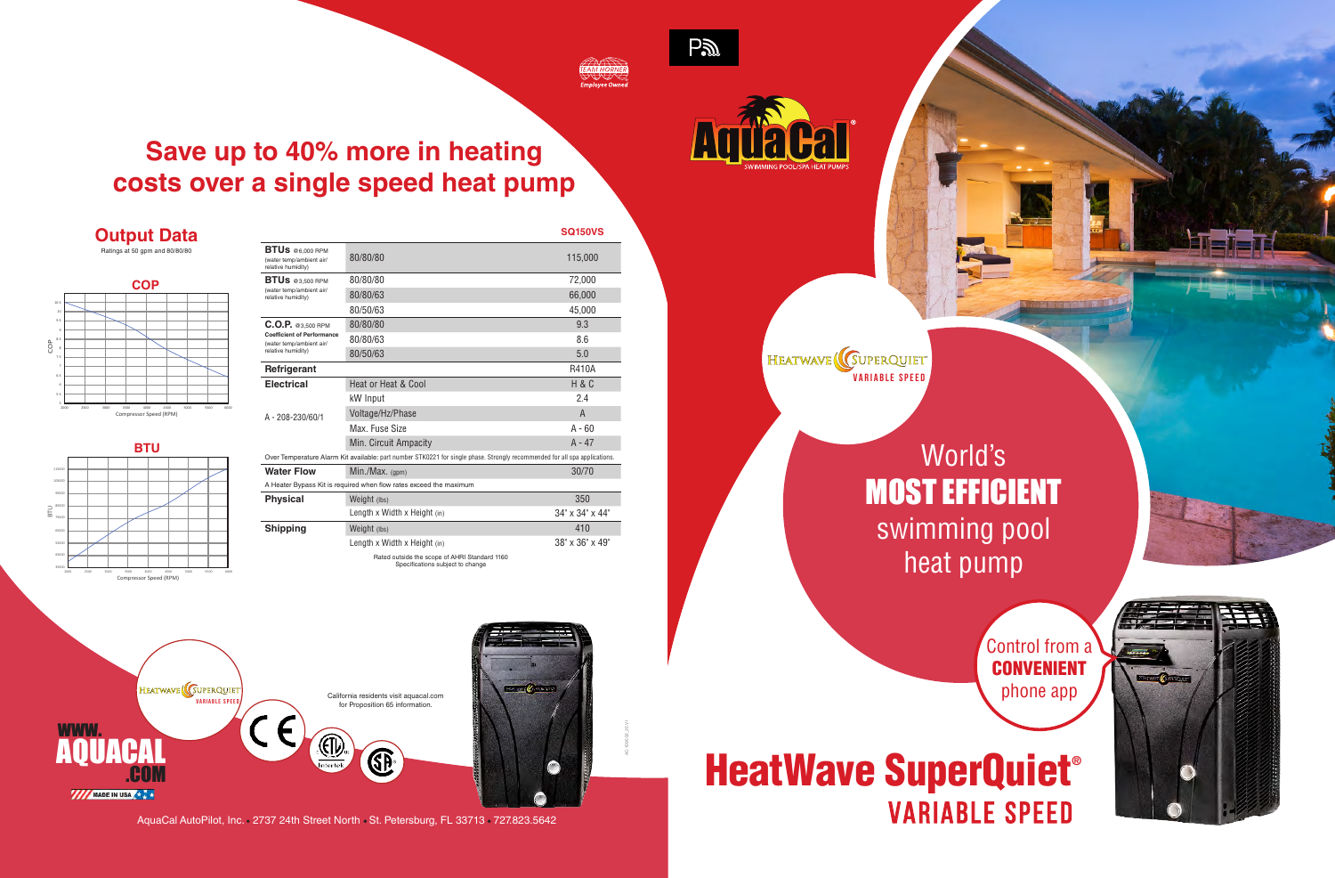

AC-1090 02\_20 V1

World's MOST EFFICIENT swimming pool heat pump

# **Save up to 40% more in heating costs over a single speed heat pump**

# **HeatWave SuperQuiet®** VARIABLE SPEED

HEATWAVE (GUPERQUIET **VARIABLE SPEED**

|                                                                                                                            |                                                                                   | <b>SQ150VS</b>              |
|----------------------------------------------------------------------------------------------------------------------------|-----------------------------------------------------------------------------------|-----------------------------|
| <b>BTUs</b> @6,000 RPM<br>(water temp/ambient air/<br>relative humidity)                                                   | 80/80/80                                                                          | 115,000                     |
| BTUs @3,500 RPM<br>(water temp/ambient air/<br>relative humidity)                                                          | 80/80/80                                                                          | 72.000                      |
|                                                                                                                            | 80/80/63                                                                          | 66,000                      |
|                                                                                                                            | 80/50/63                                                                          | 45.000                      |
| $C.O.P.$ @3,500 RPM<br><b>Coefficient of Performance</b><br>(water temp/ambient air/<br>relative humidity)                 | 80/80/80                                                                          | 9.3                         |
|                                                                                                                            | 80/80/63                                                                          | 8.6                         |
|                                                                                                                            | 80/50/63                                                                          | 5.0                         |
| Refrigerant                                                                                                                |                                                                                   | R410A                       |
| <b>Electrical</b><br>A - 208-230/60/1                                                                                      | Heat or Heat & Cool                                                               | H & C                       |
|                                                                                                                            | kW Input                                                                          | 2.4                         |
|                                                                                                                            | Voltage/Hz/Phase                                                                  | $\overline{A}$              |
|                                                                                                                            | Max. Fuse Size                                                                    | $A - 60$                    |
|                                                                                                                            | Min. Circuit Ampacity                                                             | $A - 47$                    |
| Over Temperature Alarm Kit available: part number STK0221 for single phase. Strongly recommended for all spa applications. |                                                                                   |                             |
| <b>Water Flow</b>                                                                                                          | $Min./Max.$ (gpm)                                                                 | 30/70                       |
| A Heater Bypass Kit is required when flow rates exceed the maximum                                                         |                                                                                   |                             |
| <b>Physical</b>                                                                                                            | Weight (lbs)                                                                      | 350                         |
|                                                                                                                            | Length x Width x Height (in)                                                      | 34" x 34" x 44"             |
| <b>Shipping</b>                                                                                                            | Weight (lbs)                                                                      | 410                         |
|                                                                                                                            | Length x Width x Height (in)                                                      | $38" \times 36" \times 49"$ |
|                                                                                                                            | Rated outside the scope of AHRI Standard 1160<br>Specifications subject to change |                             |







AquaCal AutoPilot, Inc. 2737 24th Street North St. Petersburg, FL 33713 727.823.5642

 $P2D$ 



#### **Output Data** Ratings at 50 gpm and 80/80/80